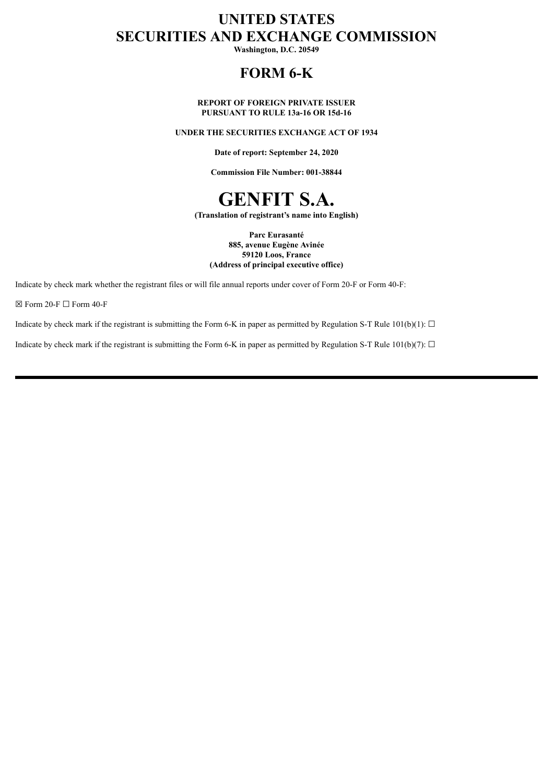# **UNITED STATES SECURITIES AND EXCHANGE COMMISSION**

**Washington, D.C. 20549**

# **FORM 6-K**

## **REPORT OF FOREIGN PRIVATE ISSUER PURSUANT TO RULE 13a-16 OR 15d-16**

## **UNDER THE SECURITIES EXCHANGE ACT OF 1934**

**Date of report: September 24, 2020**

**Commission File Number: 001-38844**



**(Translation of registrant's name into English)**

**Parc Eurasanté 885, avenue Eugène Avinée 59120 Loos, France (Address of principal executive office)**

Indicate by check mark whether the registrant files or will file annual reports under cover of Form 20-F or Form 40-F:

 $\boxtimes$  Form 20-F  $\Box$  Form 40-F

Indicate by check mark if the registrant is submitting the Form 6-K in paper as permitted by Regulation S-T Rule 101(b)(1):  $\Box$ 

Indicate by check mark if the registrant is submitting the Form 6-K in paper as permitted by Regulation S-T Rule 101(b)(7):  $\Box$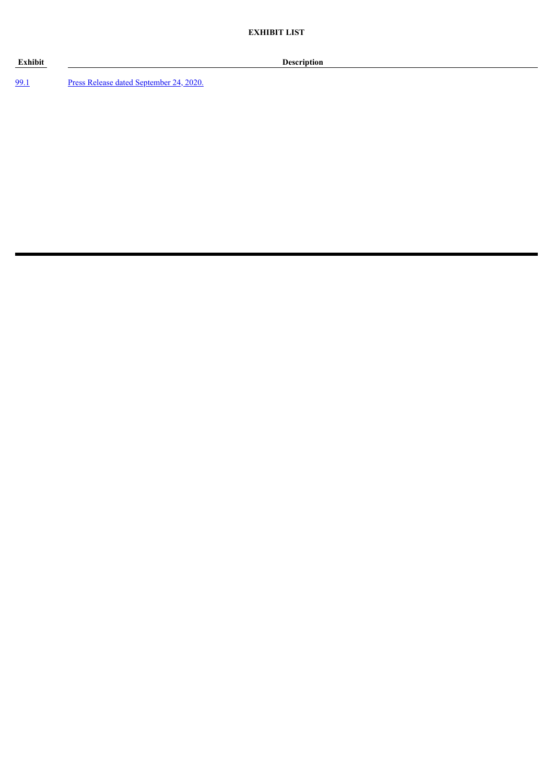**Exhibit Description**

[99.1](#page-3-0) Press Release dated [September](#page-3-0) 24, 2020.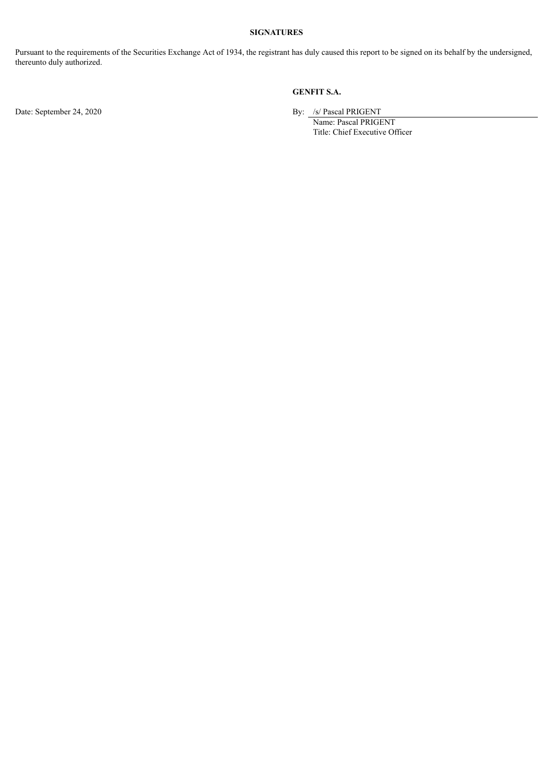## **SIGNATURES**

Pursuant to the requirements of the Securities Exchange Act of 1934, the registrant has duly caused this report to be signed on its behalf by the undersigned, thereunto duly authorized.

# **GENFIT S.A.**

Date: September 24, 2020 By: /s/ Pascal PRIGENT

Name: Pascal PRIGENT Title: Chief Executive Officer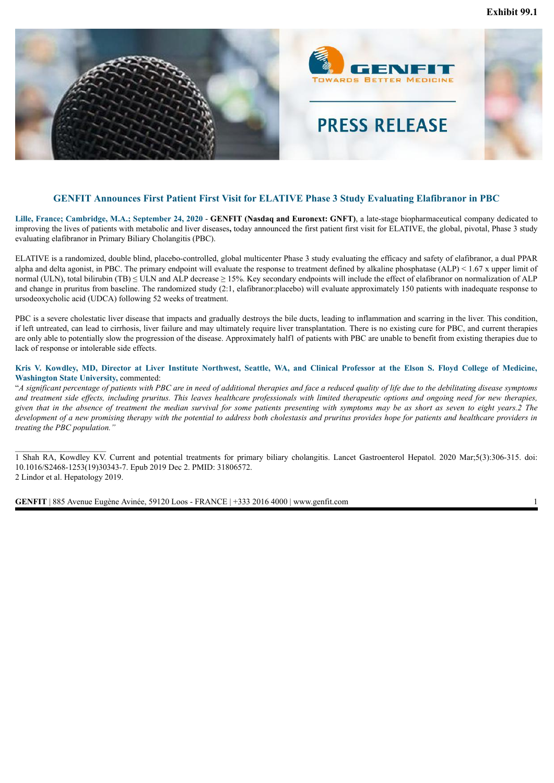<span id="page-3-0"></span>

# **GENFIT Announces First Patient First Visit for ELATIVE Phase 3 Study Evaluating Elafibranor in PBC**

**Lille, France; Cambridge, M.A.; September 24, 2020** - **GENFIT (Nasdaq and Euronext: GNFT)**, a late-stage biopharmaceutical company dedicated to improving the lives of patients with metabolic and liver diseases**,** today announced the first patient first visit for ELATIVE, the global, pivotal, Phase 3 study evaluating elafibranor in Primary Biliary Cholangitis (PBC).

ELATIVE is a randomized, double blind, placebo-controlled, global multicenter Phase 3 study evaluating the efficacy and safety of elafibranor, a dual PPAR alpha and delta agonist, in PBC. The primary endpoint will evaluate the response to treatment defined by alkaline phosphatase  $(ALP) < 1.67$  x upper limit of normal (ULN), total bilirubin (TB)  $\leq$  ULN and ALP decrease  $\geq$  15%. Key secondary endpoints will include the effect of elafibranor on normalization of ALP and change in pruritus from baseline. The randomized study (2:1, elafibranor:placebo) will evaluate approximately 150 patients with inadequate response to ursodeoxycholic acid (UDCA) following 52 weeks of treatment.

PBC is a severe cholestatic liver disease that impacts and gradually destroys the bile ducts, leading to inflammation and scarring in the liver. This condition, if left untreated, can lead to cirrhosis, liver failure and may ultimately require liver transplantation. There is no existing cure for PBC, and current therapies are only able to potentially slow the progression of the disease. Approximately half1 of patients with PBC are unable to benefit from existing therapies due to lack of response or intolerable side effects.

## Kris V. Kowdley, MD, Director at Liver Institute Northwest, Seattle, WA, and Clinical Professor at the Elson S. Floyd College of Medicine, **Washington State University,** commented:

"A significant percentage of patients with PBC are in need of additional therapies and face a reduced quality of life due to the debilitating disease symptoms and treatment side effects, including pruritus. This leaves healthcare professionals with limited therapeutic options and ongoing need for new therapies, given that in the absence of treatment the median survival for some patients presenting with symptoms may be as short as seven to eight years.2 The development of a new promising therapy with the potential to address both cholestasis and pruritus provides hope for patients and healthcare providers in *treating the PBC population."*

1 Shah RA, Kowdley KV. Current and potential treatments for primary biliary cholangitis. Lancet Gastroenterol Hepatol. 2020 Mar;5(3):306-315. doi: 10.1016/S2468-1253(19)30343-7. Epub 2019 Dec 2. PMID: 31806572. 2 Lindor et al. Hepatology 2019.

**GENFIT** | 885 Avenue Eugène Avinée, 59120 Loos - FRANCE | +333 2016 4000 | www.genfit.com 1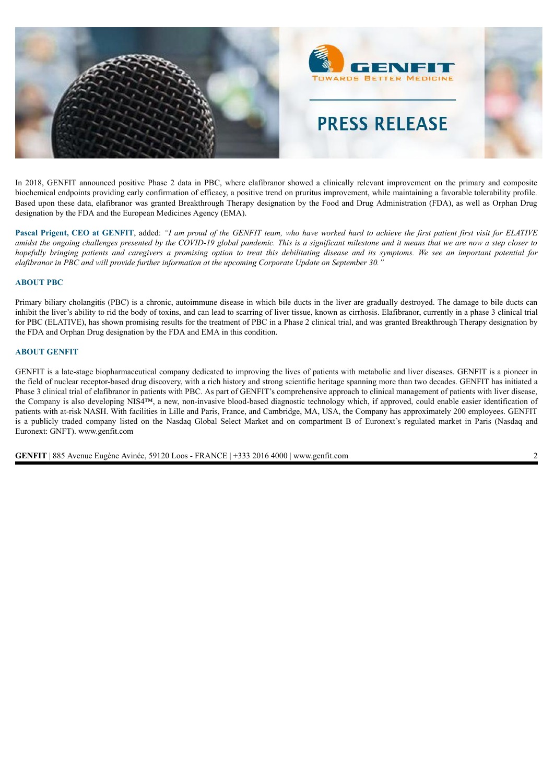

In 2018, GENFIT announced positive Phase 2 data in PBC, where elafibranor showed a clinically relevant improvement on the primary and composite biochemical endpoints providing early confirmation of efficacy, a positive trend on pruritus improvement, while maintaining a favorable tolerability profile. Based upon these data, elafibranor was granted Breakthrough Therapy designation by the Food and Drug Administration (FDA), as well as Orphan Drug designation by the FDA and the European Medicines Agency (EMA).

Pascal Prigent, CEO at GENFIT, added: "I am proud of the GENFIT team, who have worked hard to achieve the first patient first visit for ELATIVE amidst the ongoing challenges presented by the COVID-19 global pandemic. This is a significant milestone and it means that we are now a step closer to hopefully bringing patients and caregivers a promising option to treat this debilitating disease and its symptoms. We see an important potential for *elafibranor in PBC and will provide further information at the upcoming Corporate Update on September 30."*

#### **ABOUT PBC**

Primary biliary cholangitis (PBC) is a chronic, autoimmune disease in which bile ducts in the liver are gradually destroyed. The damage to bile ducts can inhibit the liver's ability to rid the body of toxins, and can lead to scarring of liver tissue, known as cirrhosis. Elafibranor, currently in a phase 3 clinical trial for PBC (ELATIVE), has shown promising results for the treatment of PBC in a Phase 2 clinical trial, and was granted Breakthrough Therapy designation by the FDA and Orphan Drug designation by the FDA and EMA in this condition.

#### **ABOUT GENFIT**

GENFIT is a late-stage biopharmaceutical company dedicated to improving the lives of patients with metabolic and liver diseases. GENFIT is a pioneer in the field of nuclear receptor-based drug discovery, with a rich history and strong scientific heritage spanning more than two decades. GENFIT has initiated a Phase 3 clinical trial of elafibranor in patients with PBC. As part of GENFIT's comprehensive approach to clinical management of patients with liver disease, the Company is also developing NIS4™, a new, non-invasive blood-based diagnostic technology which, if approved, could enable easier identification of patients with at-risk NASH. With facilities in Lille and Paris, France, and Cambridge, MA, USA, the Company has approximately 200 employees. GENFIT is a publicly traded company listed on the Nasdaq Global Select Market and on compartment B of Euronext's regulated market in Paris (Nasdaq and Euronext: GNFT). www.genfit.com

**GENFIT** | 885 Avenue Eugène Avinée, 59120 Loos - FRANCE | +333 2016 4000 | www.genfit.com 2